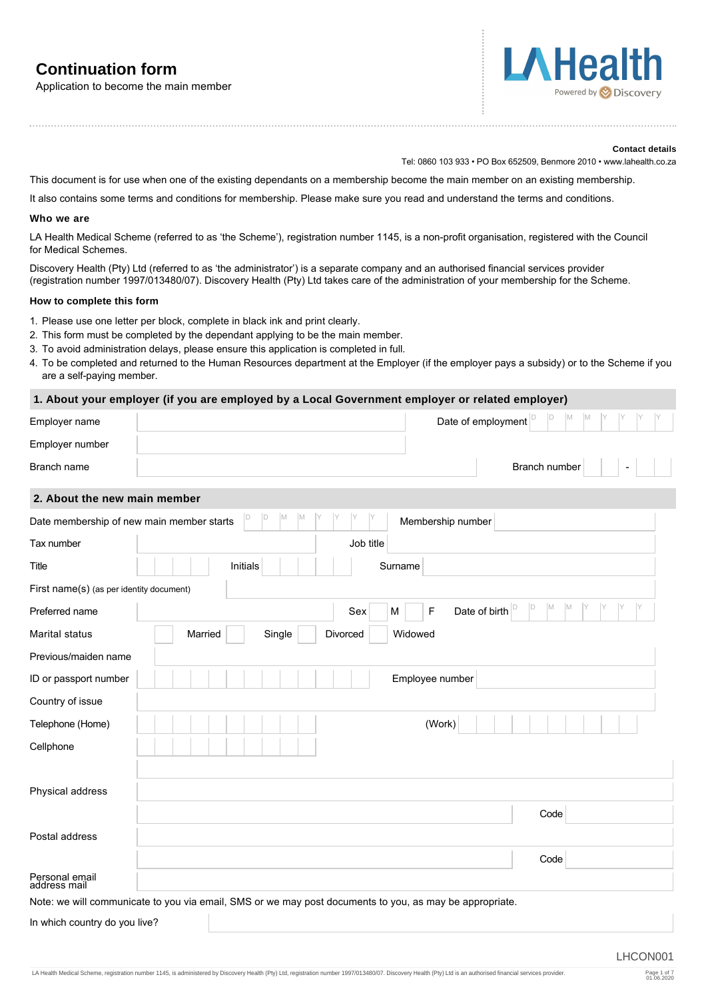# **Continuation form**

Application to become the main member



#### **Contact details**

Tel: 0860 103 933 • PO Box 652509, Benmore 2010 • www.lahealth.co.za

This document is for use when one of the existing dependants on a membership become the main member on an existing membership.

It also contains some terms and conditions for membership. Please make sure you read and understand the terms and conditions.

#### **Who we are**

LA Health Medical Scheme (referred to as 'the Scheme'), registration number 1145, is a non-profit organisation, registered with the Council for Medical Schemes.

Discovery Health (Pty) Ltd (referred to as 'the administrator') is a separate company and an authorised financial services provider (registration number 1997/013480/07). Discovery Health (Pty) Ltd takes care of the administration of your membership for the Scheme.

#### **How to complete this form**

- 1. Please use one letter per block, complete in black ink and print clearly.
- 2. This form must be completed by the dependant applying to be the main member.

- 3. To avoid administration delays, please ensure this application is completed in full.
- 4. To be completed and returned to the Human Resources department at the Employer (if the employer pays a subsidy) or to the Scheme if you are a self-paying member.

## **1. About your employer (if you are employed by a Local Government employer or related employer)**

| Employer name                             | $\Box$<br>D<br>Date of employment                                                                       |
|-------------------------------------------|---------------------------------------------------------------------------------------------------------|
| Employer number                           |                                                                                                         |
| Branch name                               | Branch number                                                                                           |
| 2. About the new main member              |                                                                                                         |
| Date membership of new main member starts | D<br>ID<br>Membership number                                                                            |
| Tax number                                | Job title                                                                                               |
| Title                                     | Initials<br>Surname                                                                                     |
| First name(s) (as per identity document)  |                                                                                                         |
| Preferred name                            | D<br><b>M</b><br>M<br>F<br>Date of birth<br>Sex<br>M                                                    |
| Marital status                            | Widowed<br>Married<br>Single<br>Divorced                                                                |
| Previous/maiden name                      |                                                                                                         |
| ID or passport number                     | Employee number                                                                                         |
| Country of issue                          |                                                                                                         |
| Telephone (Home)                          | (Work)                                                                                                  |
| Cellphone                                 |                                                                                                         |
|                                           |                                                                                                         |
| Physical address                          |                                                                                                         |
|                                           | Code                                                                                                    |
| Postal address                            |                                                                                                         |
|                                           | Code                                                                                                    |
| Personal email<br>address mail            |                                                                                                         |
|                                           | Note: we will communicate to you via email, SMS or we may post documents to you, as may be appropriate. |
| In which country do you live?             |                                                                                                         |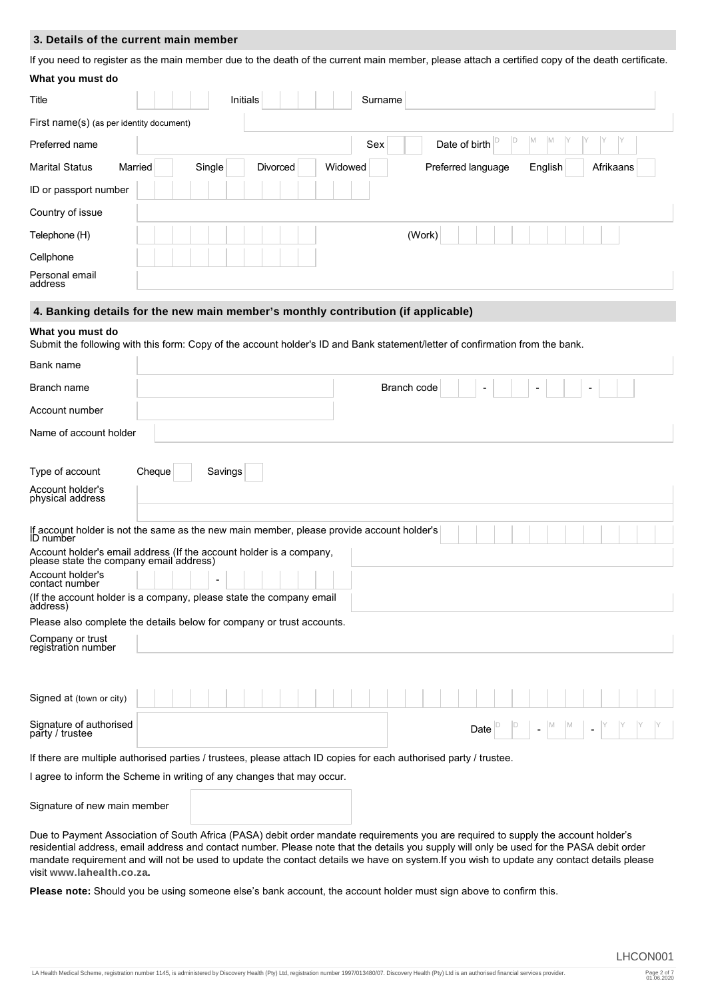## **3. Details of the current main member**

If you need to register as the main member due to the death of the current main member, please attach a certified copy of the death certificate.

| What you must do                                                                                                                                                                                                                                                                                                                                                                                                                                                                                                                                                              |        |         |          |         |                    |              |         |           |  |
|-------------------------------------------------------------------------------------------------------------------------------------------------------------------------------------------------------------------------------------------------------------------------------------------------------------------------------------------------------------------------------------------------------------------------------------------------------------------------------------------------------------------------------------------------------------------------------|--------|---------|----------|---------|--------------------|--------------|---------|-----------|--|
| Title                                                                                                                                                                                                                                                                                                                                                                                                                                                                                                                                                                         |        |         | Initials | Surname |                    |              |         |           |  |
| First name(s) (as per identity document)                                                                                                                                                                                                                                                                                                                                                                                                                                                                                                                                      |        |         |          |         |                    |              |         |           |  |
| Preferred name                                                                                                                                                                                                                                                                                                                                                                                                                                                                                                                                                                |        |         |          | Sex     | Date of birth      | $\mathbb{D}$ | M<br>M. |           |  |
| <b>Marital Status</b><br>Married                                                                                                                                                                                                                                                                                                                                                                                                                                                                                                                                              |        | Single  | Divorced | Widowed | Preferred language |              | English | Afrikaans |  |
| ID or passport number                                                                                                                                                                                                                                                                                                                                                                                                                                                                                                                                                         |        |         |          |         |                    |              |         |           |  |
| Country of issue                                                                                                                                                                                                                                                                                                                                                                                                                                                                                                                                                              |        |         |          |         |                    |              |         |           |  |
| Telephone (H)                                                                                                                                                                                                                                                                                                                                                                                                                                                                                                                                                                 |        |         |          |         | (Work)             |              |         |           |  |
| Cellphone                                                                                                                                                                                                                                                                                                                                                                                                                                                                                                                                                                     |        |         |          |         |                    |              |         |           |  |
| Personal email<br>address                                                                                                                                                                                                                                                                                                                                                                                                                                                                                                                                                     |        |         |          |         |                    |              |         |           |  |
| 4. Banking details for the new main member's monthly contribution (if applicable)                                                                                                                                                                                                                                                                                                                                                                                                                                                                                             |        |         |          |         |                    |              |         |           |  |
| What you must do<br>Submit the following with this form: Copy of the account holder's ID and Bank statement/letter of confirmation from the bank.                                                                                                                                                                                                                                                                                                                                                                                                                             |        |         |          |         |                    |              |         |           |  |
| Bank name                                                                                                                                                                                                                                                                                                                                                                                                                                                                                                                                                                     |        |         |          |         |                    |              |         |           |  |
| Branch name                                                                                                                                                                                                                                                                                                                                                                                                                                                                                                                                                                   |        |         |          |         | Branch code        |              |         |           |  |
| Account number                                                                                                                                                                                                                                                                                                                                                                                                                                                                                                                                                                |        |         |          |         |                    |              |         |           |  |
| Name of account holder                                                                                                                                                                                                                                                                                                                                                                                                                                                                                                                                                        |        |         |          |         |                    |              |         |           |  |
| Type of account                                                                                                                                                                                                                                                                                                                                                                                                                                                                                                                                                               | Cheque | Savings |          |         |                    |              |         |           |  |
| Account holder's<br>physical address                                                                                                                                                                                                                                                                                                                                                                                                                                                                                                                                          |        |         |          |         |                    |              |         |           |  |
| If account holder is not the same as the new main member, please provide account holder's<br><b>ID</b> number                                                                                                                                                                                                                                                                                                                                                                                                                                                                 |        |         |          |         |                    |              |         |           |  |
| Account holder's email address (If the account holder is a company,<br>please state the company email address)                                                                                                                                                                                                                                                                                                                                                                                                                                                                |        |         |          |         |                    |              |         |           |  |
| Account holder's<br>contact number                                                                                                                                                                                                                                                                                                                                                                                                                                                                                                                                            |        |         |          |         |                    |              |         |           |  |
| (If the account holder is a company, please state the company email<br>àddress)                                                                                                                                                                                                                                                                                                                                                                                                                                                                                               |        |         |          |         |                    |              |         |           |  |
| Please also complete the details below for company or trust accounts.                                                                                                                                                                                                                                                                                                                                                                                                                                                                                                         |        |         |          |         |                    |              |         |           |  |
| Company or trust<br>registration number                                                                                                                                                                                                                                                                                                                                                                                                                                                                                                                                       |        |         |          |         |                    |              |         |           |  |
|                                                                                                                                                                                                                                                                                                                                                                                                                                                                                                                                                                               |        |         |          |         |                    |              |         |           |  |
| Signed at (town or city)                                                                                                                                                                                                                                                                                                                                                                                                                                                                                                                                                      |        |         |          |         |                    |              |         |           |  |
| Signature of authorised<br>party / trustee                                                                                                                                                                                                                                                                                                                                                                                                                                                                                                                                    |        |         |          |         |                    | Date         |         |           |  |
| If there are multiple authorised parties / trustees, please attach ID copies for each authorised party / trustee.                                                                                                                                                                                                                                                                                                                                                                                                                                                             |        |         |          |         |                    |              |         |           |  |
| I agree to inform the Scheme in writing of any changes that may occur.                                                                                                                                                                                                                                                                                                                                                                                                                                                                                                        |        |         |          |         |                    |              |         |           |  |
| Signature of new main member                                                                                                                                                                                                                                                                                                                                                                                                                                                                                                                                                  |        |         |          |         |                    |              |         |           |  |
| Due to Payment Association of South Africa (PASA) debit order mandate requirements you are required to supply the account holder's<br>residential address, email address and contact number. Please note that the details you supply will only be used for the PASA debit order<br>mandate requirement and will not be used to update the contact details we have on system. If you wish to update any contact details please<br>visit www.lahealth.co.za.<br>Plasse note: Should you be using someone else's bank account the account holder must sign above to confirm this |        |         |          |         |                    |              |         |           |  |

**Please note:** Should you be using someone else's bank account, the account holder must sign above to confirm this.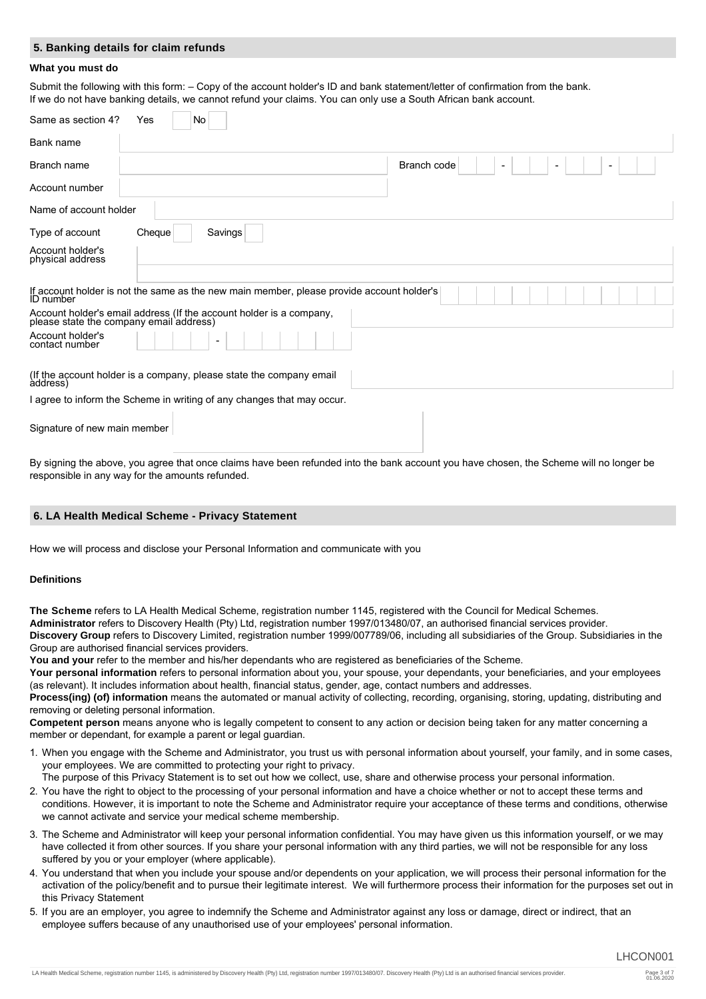## **5. Banking details for claim refunds**

#### **What you must do**

Submit the following with this form: – Copy of the account holder's ID and bank statement/letter of confirmation from the bank. If we do not have banking details, we cannot refund your claims. You can only use a South African bank account.

| Same as section 4?<br>No<br>Yes                                                                                |
|----------------------------------------------------------------------------------------------------------------|
| Bank name                                                                                                      |
| Branch code<br>Branch name                                                                                     |
| Account number                                                                                                 |
| Name of account holder                                                                                         |
| Savings<br>Type of account<br>Cheque                                                                           |
| Account holder's<br>physical address                                                                           |
| If account holder is not the same as the new main member, please provide account holder's<br><b>ID</b> number  |
| Account holder's email address (If the account holder is a company,<br>please state the company email address) |
| Account holder's<br>contact number                                                                             |
| (If the account holder is a company, please state the company email<br>àddress)                                |
| I agree to inform the Scheme in writing of any changes that may occur.                                         |
| Signature of new main member                                                                                   |

By signing the above, you agree that once claims have been refunded into the bank account you have chosen, the Scheme will no longer be responsible in any way for the amounts refunded.

#### **6. LA Health Medical Scheme - Privacy Statement**

How we will process and disclose your Personal Information and communicate with you

## **Definitions**

**The Scheme** refers to LA Health Medical Scheme, registration number 1145, registered with the Council for Medical Schemes. **Administrator** refers to Discovery Health (Pty) Ltd, registration number 1997/013480/07, an authorised financial services provider. **Discovery Group** refers to Discovery Limited, registration number 1999/007789/06, including all subsidiaries of the Group. Subsidiaries in the Group are authorised financial services providers.

You and your refer to the member and his/her dependants who are registered as beneficiaries of the Scheme.

**Your personal information** refers to personal information about you, your spouse, your dependants, your beneficiaries, and your employees (as relevant). It includes information about health, financial status, gender, age, contact numbers and addresses.

Process(ing) (of) information means the automated or manual activity of collecting, recording, organising, storing, updating, distributing and removing or deleting personal information.

**Competent person** means anyone who is legally competent to consent to any action or decision being taken for any matter concerning a member or dependant, for example a parent or legal guardian.

1. When you engage with the Scheme and Administrator, you trust us with personal information about yourself, your family, and in some cases, your employees. We are committed to protecting your right to privacy.

The purpose of this Privacy Statement is to set out how we collect, use, share and otherwise process your personal information.

- 2. You have the right to object to the processing of your personal information and have a choice whether or not to accept these terms and conditions. However, it is important to note the Scheme and Administrator require your acceptance of these terms and conditions, otherwise we cannot activate and service your medical scheme membership.
- 3. The Scheme and Administrator will keep your personal information confidential. You may have given us this information yourself, or we may have collected it from other sources. If you share your personal information with any third parties, we will not be responsible for any loss suffered by you or your employer (where applicable).
- 4. You understand that when you include your spouse and/or dependents on your application, we will process their personal information for the activation of the policy/benefit and to pursue their legitimate interest. We will furthermore process their information for the purposes set out in this Privacy Statement
- 5. If you are an employer, you agree to indemnify the Scheme and Administrator against any loss or damage, direct or indirect, that an employee suffers because of any unauthorised use of your employees' personal information.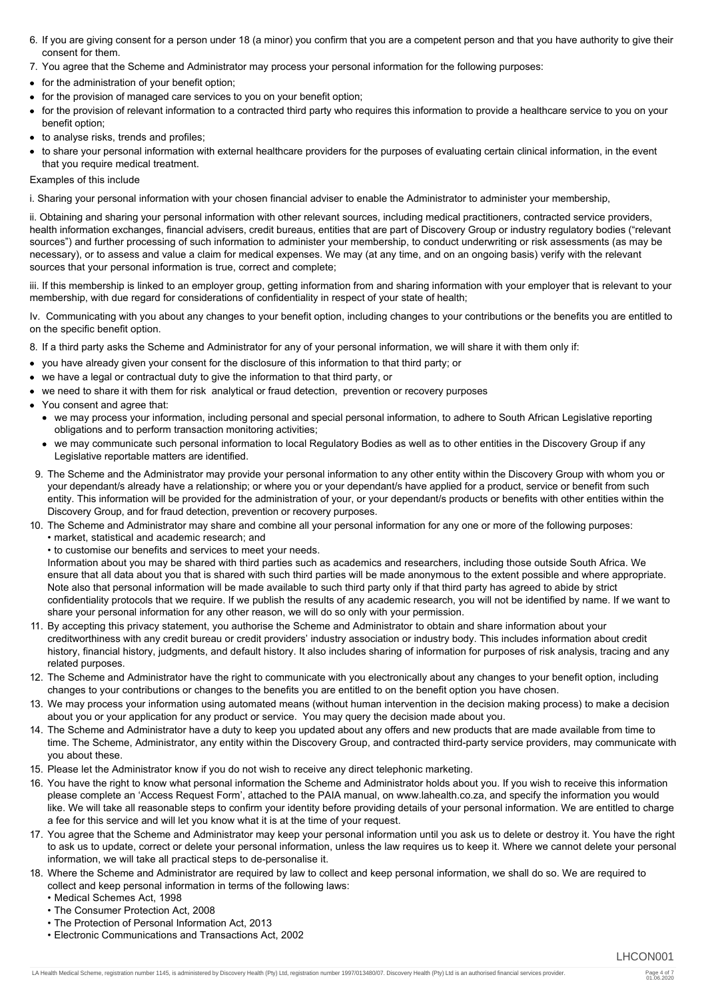- 6. If you are giving consent for a person under 18 (a minor) you confirm that you are a competent person and that you have authority to give their consent for them.
- 7. You agree that the Scheme and Administrator may process your personal information for the following purposes:
- for the administration of your benefit option;
- for the provision of managed care services to you on your benefit option;
- for the provision of relevant information to a contracted third party who requires this information to provide a healthcare service to you on your benefit option;
- to analyse risks, trends and profiles;
- to share your personal information with external healthcare providers for the purposes of evaluating certain clinical information, in the event that you require medical treatment.

Examples of this include

i. Sharing your personal information with your chosen financial adviser to enable the Administrator to administer your membership,

ii. Obtaining and sharing your personal information with other relevant sources, including medical practitioners, contracted service providers, health information exchanges, financial advisers, credit bureaus, entities that are part of Discovery Group or industry regulatory bodies ("relevant sources") and further processing of such information to administer your membership, to conduct underwriting or risk assessments (as may be necessary), or to assess and value a claim for medical expenses. We may (at any time, and on an ongoing basis) verify with the relevant sources that your personal information is true, correct and complete;

iii. If this membership is linked to an employer group, getting information from and sharing information with your employer that is relevant to your membership, with due regard for considerations of confidentiality in respect of your state of health;

Iv. Communicating with you about any changes to your benefit option, including changes to your contributions or the benefits you are entitled to on the specific benefit option.

- 8. If a third party asks the Scheme and Administrator for any of your personal information, we will share it with them only if:
- you have already given your consent for the disclosure of this information to that third party; or
- we have a legal or contractual duty to give the information to that third party, or
- we need to share it with them for risk analytical or fraud detection, prevention or recovery purposes
- You consent and agree that:
	- we may process your information, including personal and special personal information, to adhere to South African Legislative reporting obligations and to perform transaction monitoring activities;
	- we may communicate such personal information to local Regulatory Bodies as well as to other entities in the Discovery Group if any Legislative reportable matters are identified.
- 9. The Scheme and the Administrator may provide your personal information to any other entity within the Discovery Group with whom you or your dependant/s already have a relationship; or where you or your dependant/s have applied for a product, service or benefit from such entity. This information will be provided for the administration of your, or your dependant/s products or benefits with other entities within the Discovery Group, and for fraud detection, prevention or recovery purposes.
- 10. The Scheme and Administrator may share and combine all your personal information for any one or more of the following purposes: • market, statistical and academic research; and
	- to customise our benefits and services to meet your needs.

Information about you may be shared with third parties such as academics and researchers, including those outside South Africa. We ensure that all data about you that is shared with such third parties will be made anonymous to the extent possible and where appropriate. Note also that personal information will be made available to such third party only if that third party has agreed to abide by strict confidentiality protocols that we require. If we publish the results of any academic research, you will not be identified by name. If we want to share your personal information for any other reason, we will do so only with your permission.

- 11. By accepting this privacy statement, you authorise the Scheme and Administrator to obtain and share information about your creditworthiness with any credit bureau or credit providers' industry association or industry body. This includes information about credit history, financial history, judgments, and default history. It also includes sharing of information for purposes of risk analysis, tracing and any related purposes.
- 12. The Scheme and Administrator have the right to communicate with you electronically about any changes to your benefit option, including changes to your contributions or changes to the benefits you are entitled to on the benefit option you have chosen.
- 13. We may process your information using automated means (without human intervention in the decision making process) to make a decision about you or your application for any product or service. You may query the decision made about you.
- 14. The Scheme and Administrator have a duty to keep you updated about any offers and new products that are made available from time to time. The Scheme, Administrator, any entity within the Discovery Group, and contracted third-party service providers, may communicate with you about these.
- 15. Please let the Administrator know if you do not wish to receive any direct telephonic marketing.
- 16. You have the right to know what personal information the Scheme and Administrator holds about you. If you wish to receive this information please complete an 'Access Request Form', attached to the PAIA manual, on www.lahealth.co.za, and specify the information you would like. We will take all reasonable steps to confirm your identity before providing details of your personal information. We are entitled to charge a fee for this service and will let you know what it is at the time of your request.
- 17. You agree that the Scheme and Administrator may keep your personal information until you ask us to delete or destroy it. You have the right to ask us to update, correct or delete your personal information, unless the law requires us to keep it. Where we cannot delete your personal information, we will take all practical steps to de-personalise it.
- 18. Where the Scheme and Administrator are required by law to collect and keep personal information, we shall do so. We are required to collect and keep personal information in terms of the following laws:
	- Medical Schemes Act, 1998
	- The Consumer Protection Act, 2008
	- The Protection of Personal Information Act, 2013
	- Electronic Communications and Transactions Act, 2002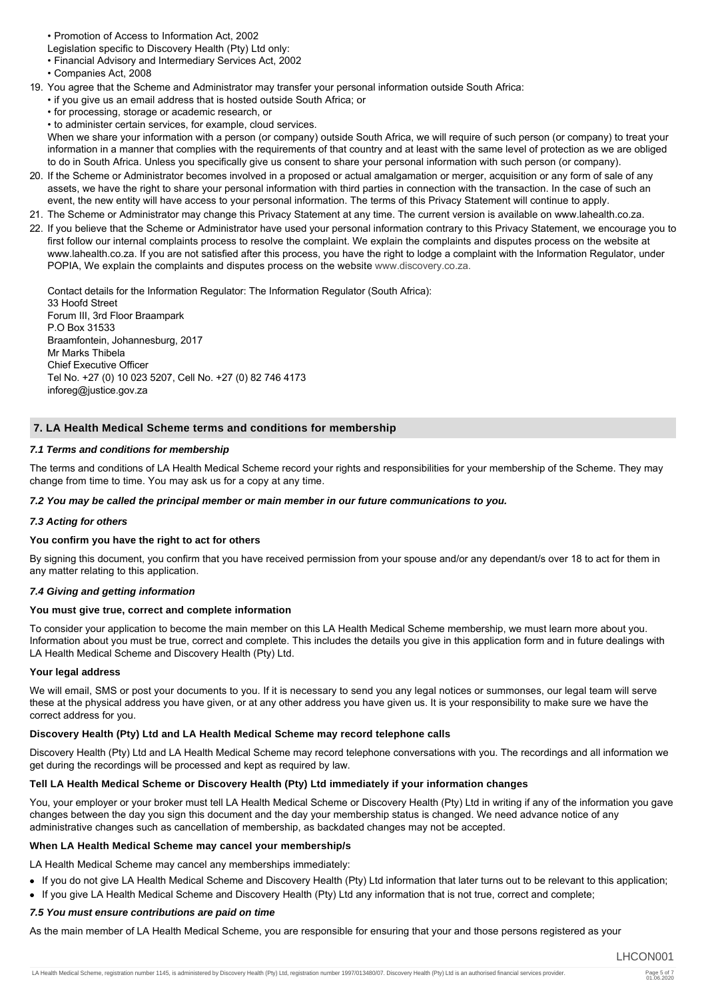• Promotion of Access to Information Act, 2002

Legislation specific to Discovery Health (Pty) Ltd only:

• Financial Advisory and Intermediary Services Act, 2002

- Companies Act, 2008
- 19. You agree that the Scheme and Administrator may transfer your personal information outside South Africa:
	- if you give us an email address that is hosted outside South Africa; or
	- for processing, storage or academic research, or
	- to administer certain services, for example, cloud services.

When we share your information with a person (or company) outside South Africa, we will require of such person (or company) to treat your information in a manner that complies with the requirements of that country and at least with the same level of protection as we are obliged to do in South Africa. Unless you specifically give us consent to share your personal information with such person (or company).

- 20. If the Scheme or Administrator becomes involved in a proposed or actual amalgamation or merger, acquisition or any form of sale of any assets, we have the right to share your personal information with third parties in connection with the transaction. In the case of such an event, the new entity will have access to your personal information. The terms of this Privacy Statement will continue to apply.
- 21. The Scheme or Administrator may change this Privacy Statement at any time. The current version is available on www.lahealth.co.za.
- 22. If you believe that the Scheme or Administrator have used your personal information contrary to this Privacy Statement, we encourage you to first follow our internal complaints process to resolve the complaint. We explain the complaints and disputes process on the website at www.lahealth.co.za. If you are not satisfied after this process, you have the right to lodge a complaint with the Information Regulator, under POPIA, We explain the complaints and disputes process on the website [www.discovery.co.za.](http://www.discovery.co.za.)

Contact details for the Information Regulator: The Information Regulator (South Africa): 33 Hoofd Street Forum III, 3rd Floor Braampark P.O Box 31533 Braamfontein, Johannesburg, 2017 Mr Marks Thibela Chief Executive Officer Tel No. +27 (0) 10 023 5207, Cell No. +27 (0) 82 746 4173 inforeg@justice.gov.za

## **7. LA Health Medical Scheme terms and conditions for membership**

### *7.1 Terms and conditions for membership*

The terms and conditions of LA Health Medical Scheme record your rights and responsibilities for your membership of the Scheme. They may change from time to time. You may ask us for a copy at any time.

### *7.2 You may be called the principal member or main member in our future communications to you.*

## *7.3 Acting for others*

#### **You confirm you have the right to act for others**

By signing this document, you confirm that you have received permission from your spouse and/or any dependant/s over 18 to act for them in any matter relating to this application.

## *7.4 Giving and getting information*

#### **You must give true, correct and complete information**

To consider your application to become the main member on this LA Health Medical Scheme membership, we must learn more about you. Information about you must be true, correct and complete. This includes the details you give in this application form and in future dealings with LA Health Medical Scheme and Discovery Health (Pty) Ltd.

#### **Your legal address**

We will email, SMS or post your documents to you. If it is necessary to send you any legal notices or summonses, our legal team will serve these at the physical address you have given, or at any other address you have given us. It is your responsibility to make sure we have the correct address for you.

## **Discovery Health (Pty) Ltd and LA Health Medical Scheme may record telephone calls**

Discovery Health (Pty) Ltd and LA Health Medical Scheme may record telephone conversations with you. The recordings and all information we get during the recordings will be processed and kept as required by law.

## **Tell LA Health Medical Scheme or Discovery Health (Pty) Ltd immediately if your information changes**

You, your employer or your broker must tell LA Health Medical Scheme or Discovery Health (Pty) Ltd in writing if any of the information you gave changes between the day you sign this document and the day your membership status is changed. We need advance notice of any administrative changes such as cancellation of membership, as backdated changes may not be accepted.

#### **When LA Health Medical Scheme may cancel your membership/s**

LA Health Medical Scheme may cancel any memberships immediately:

- If you do not give LA Health Medical Scheme and Discovery Health (Pty) Ltd information that later turns out to be relevant to this application;
- If you give LA Health Medical Scheme and Discovery Health (Pty) Ltd any information that is not true, correct and complete;

## *7.5 You must ensure contributions are paid on time*

As the main member of LA Health Medical Scheme, you are responsible for ensuring that your and those persons registered as your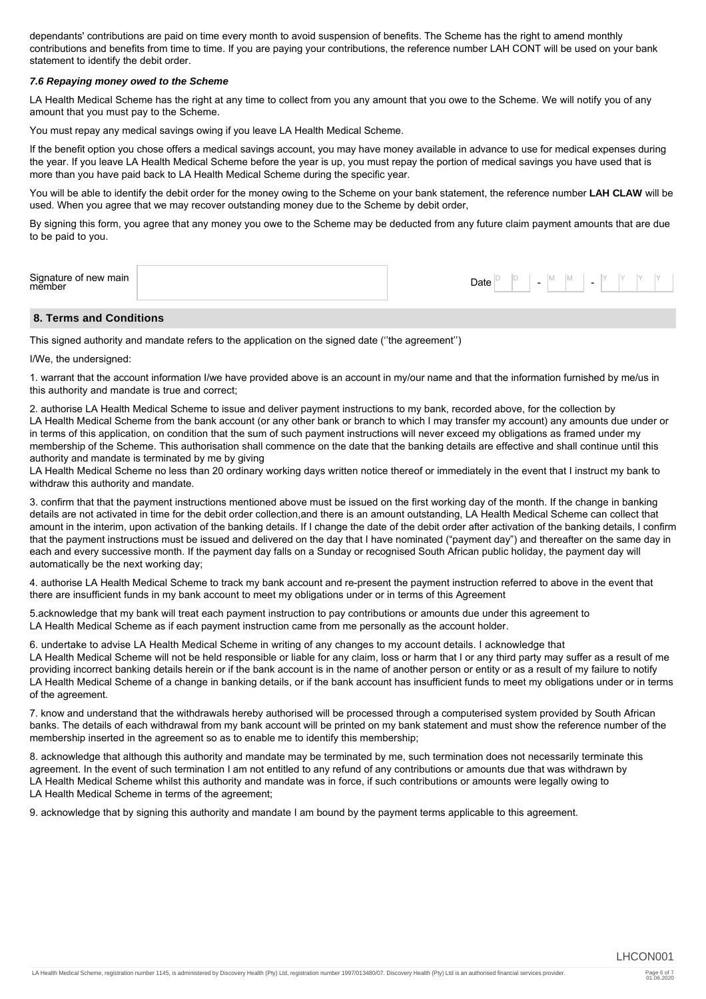dependants' contributions are paid on time every month to avoid suspension of benefits. The Scheme has the right to amend monthly contributions and benefits from time to time. If you are paying your contributions, the reference number LAH CONT will be used on your bank statement to identify the debit order.

### *7.6 Repaying money owed to the Scheme*

LA Health Medical Scheme has the right at any time to collect from you any amount that you owe to the Scheme. We will notify you of any amount that you must pay to the Scheme.

You must repay any medical savings owing if you leave LA Health Medical Scheme.

If the benefit option you chose offers a medical savings account, you may have money available in advance to use for medical expenses during the year. If you leave LA Health Medical Scheme before the year is up, you must repay the portion of medical savings you have used that is more than you have paid back to LA Health Medical Scheme during the specific year.

You will be able to identify the debit order for the money owing to the Scheme on your bank statement, the reference number **LAH CLAW** will be used. When you agree that we may recover outstanding money due to the Scheme by debit order,

By signing this form, you agree that any money you owe to the Scheme may be deducted from any future claim payment amounts that are due to be paid to you.

| Signature of<br>member<br>new main<br>Date<br>IVI.<br>٠<br>$\overline{\phantom{0}}$ |  |
|-------------------------------------------------------------------------------------|--|
|-------------------------------------------------------------------------------------|--|

## **8. Terms and Conditions**

This signed authority and mandate refers to the application on the signed date (''the agreement'')

I/We, the undersigned:

1. warrant that the account information I/we have provided above is an account in my/our name and that the information furnished by me/us in this authority and mandate is true and correct;

2. authorise LA Health Medical Scheme to issue and deliver payment instructions to my bank, recorded above, for the collection by LA Health Medical Scheme from the bank account (or any other bank or branch to which I may transfer my account) any amounts due under or in terms of this application, on condition that the sum of such payment instructions will never exceed my obligations as framed under my membership of the Scheme. This authorisation shall commence on the date that the banking details are effective and shall continue until this authority and mandate is terminated by me by giving

LA Health Medical Scheme no less than 20 ordinary working days written notice thereof or immediately in the event that I instruct my bank to withdraw this authority and mandate.

3. confirm that that the payment instructions mentioned above must be issued on the first working day of the month. If the change in banking details are not activated in time for the debit order collection,and there is an amount outstanding, LA Health Medical Scheme can collect that amount in the interim, upon activation of the banking details. If I change the date of the debit order after activation of the banking details, I confirm that the payment instructions must be issued and delivered on the day that I have nominated ("payment day") and thereafter on the same day in each and every successive month. If the payment day falls on a Sunday or recognised South African public holiday, the payment day will automatically be the next working day;

4. authorise LA Health Medical Scheme to track my bank account and re-present the payment instruction referred to above in the event that there are insufficient funds in my bank account to meet my obligations under or in terms of this Agreement

5.acknowledge that my bank will treat each payment instruction to pay contributions or amounts due under this agreement to LA Health Medical Scheme as if each payment instruction came from me personally as the account holder.

6. undertake to advise LA Health Medical Scheme in writing of any changes to my account details. I acknowledge that LA Health Medical Scheme will not be held responsible or liable for any claim, loss or harm that I or any third party may suffer as a result of me providing incorrect banking details herein or if the bank account is in the name of another person or entity or as a result of my failure to notify LA Health Medical Scheme of a change in banking details, or if the bank account has insufficient funds to meet my obligations under or in terms of the agreement.

7. know and understand that the withdrawals hereby authorised will be processed through a computerised system provided by South African banks. The details of each withdrawal from my bank account will be printed on my bank statement and must show the reference number of the membership inserted in the agreement so as to enable me to identify this membership;

8. acknowledge that although this authority and mandate may be terminated by me, such termination does not necessarily terminate this agreement. In the event of such termination I am not entitled to any refund of any contributions or amounts due that was withdrawn by LA Health Medical Scheme whilst this authority and mandate was in force, if such contributions or amounts were legally owing to LA Health Medical Scheme in terms of the agreement;

9. acknowledge that by signing this authority and mandate I am bound by the payment terms applicable to this agreement.